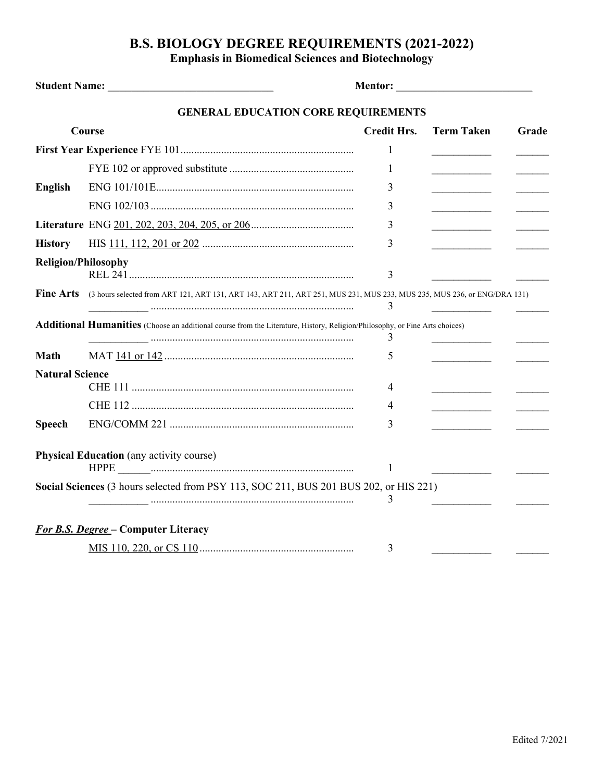## **B.S. BIOLOGY DEGREE REQUIREMENTS (2021-2022)**

**Emphasis in Biomedical Sciences and Biotechnology**

|                            | <b>GENERAL EDUCATION CORE REQUIREMENTS</b>                                                                                                                                                                                                                                                                                                                                                                                                                                                                      |                    |                                                 |       |
|----------------------------|-----------------------------------------------------------------------------------------------------------------------------------------------------------------------------------------------------------------------------------------------------------------------------------------------------------------------------------------------------------------------------------------------------------------------------------------------------------------------------------------------------------------|--------------------|-------------------------------------------------|-------|
|                            | Course                                                                                                                                                                                                                                                                                                                                                                                                                                                                                                          | <b>Credit Hrs.</b> | <b>Term Taken</b>                               | Grade |
|                            |                                                                                                                                                                                                                                                                                                                                                                                                                                                                                                                 | 1                  |                                                 |       |
|                            |                                                                                                                                                                                                                                                                                                                                                                                                                                                                                                                 | $\mathbf{1}$       | <u> 1990 - Johann Barbara, martin a</u>         |       |
| <b>English</b>             |                                                                                                                                                                                                                                                                                                                                                                                                                                                                                                                 | 3                  | <u> 1980 - John Barn Barn, mars and de Barn</u> |       |
|                            |                                                                                                                                                                                                                                                                                                                                                                                                                                                                                                                 | 3                  | the control of the control of the               |       |
|                            |                                                                                                                                                                                                                                                                                                                                                                                                                                                                                                                 | 3                  |                                                 |       |
| <b>History</b>             |                                                                                                                                                                                                                                                                                                                                                                                                                                                                                                                 | 3                  |                                                 |       |
| <b>Religion/Philosophy</b> |                                                                                                                                                                                                                                                                                                                                                                                                                                                                                                                 | 3                  |                                                 |       |
| <b>Fine Arts</b>           | (3 hours selected from ART 121, ART 131, ART 143, ART 211, ART 251, MUS 231, MUS 233, MUS 235, MUS 236, or ENG/DRA 131)                                                                                                                                                                                                                                                                                                                                                                                         | 3                  |                                                 |       |
|                            | <b>Additional Humanities</b> (Choose an additional course from the Literature, History, Religion/Philosophy, or Fine Arts choices)                                                                                                                                                                                                                                                                                                                                                                              | 3                  |                                                 |       |
| <b>Math</b>                |                                                                                                                                                                                                                                                                                                                                                                                                                                                                                                                 | 5                  |                                                 |       |
| <b>Natural Science</b>     |                                                                                                                                                                                                                                                                                                                                                                                                                                                                                                                 |                    |                                                 |       |
|                            |                                                                                                                                                                                                                                                                                                                                                                                                                                                                                                                 | 4                  |                                                 |       |
|                            |                                                                                                                                                                                                                                                                                                                                                                                                                                                                                                                 | 4                  |                                                 |       |
| <b>Speech</b>              |                                                                                                                                                                                                                                                                                                                                                                                                                                                                                                                 | 3                  |                                                 |       |
|                            | <b>Physical Education</b> (any activity course)<br>$\it{HPPE} \begin{tabular}{c} \textbf{}\\ \textbf{}\\ \textbf{}\\ \textbf{}\\ \textbf{}\\ \textbf{}\\ \textbf{}\\ \textbf{}\\ \textbf{}\\ \textbf{}\\ \textbf{}\\ \textbf{}\\ \textbf{}\\ \textbf{}\\ \textbf{}\\ \textbf{}\\ \textbf{}\\ \textbf{}\\ \textbf{}\\ \textbf{}\\ \textbf{}\\ \textbf{}\\ \textbf{}\\ \textbf{}\\ \textbf{}\\ \textbf{}\\ \textbf{}\\ \textbf{}\\ \textbf{}\\ \textbf{}\\ \textbf{}\\ \textbf{}\\ \textbf{}\\ \textbf{}\\ \text$ | 1                  |                                                 |       |
|                            | Social Sciences (3 hours selected from PSY 113, SOC 211, BUS 201 BUS 202, or HIS 221)                                                                                                                                                                                                                                                                                                                                                                                                                           | 3                  |                                                 |       |
|                            | <b>For B.S. Degree - Computer Literacy</b>                                                                                                                                                                                                                                                                                                                                                                                                                                                                      |                    |                                                 |       |
|                            |                                                                                                                                                                                                                                                                                                                                                                                                                                                                                                                 | 3                  |                                                 |       |